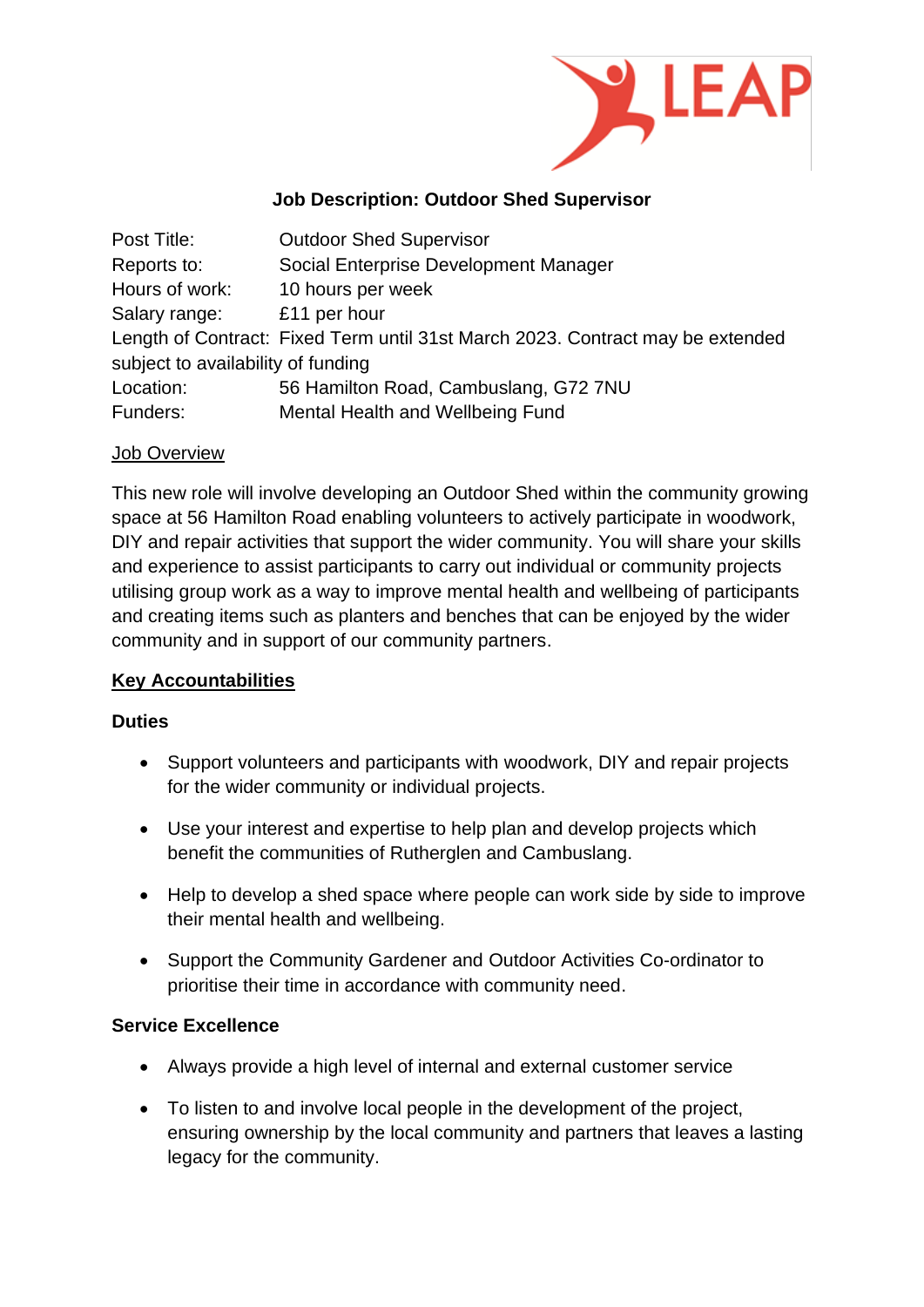

### **Job Description: Outdoor Shed Supervisor**

| Post Title:                        | <b>Outdoor Shed Supervisor</b>                                                 |  |
|------------------------------------|--------------------------------------------------------------------------------|--|
| Reports to:                        | Social Enterprise Development Manager                                          |  |
| Hours of work:                     | 10 hours per week                                                              |  |
| Salary range:                      | £11 per hour                                                                   |  |
|                                    | Length of Contract: Fixed Term until 31st March 2023. Contract may be extended |  |
| subject to availability of funding |                                                                                |  |
| Location:                          | 56 Hamilton Road, Cambuslang, G72 7NU                                          |  |
| Funders:                           | Mental Health and Wellbeing Fund                                               |  |

#### Job Overview

This new role will involve developing an Outdoor Shed within the community growing space at 56 Hamilton Road enabling volunteers to actively participate in woodwork, DIY and repair activities that support the wider community. You will share your skills and experience to assist participants to carry out individual or community projects utilising group work as a way to improve mental health and wellbeing of participants and creating items such as planters and benches that can be enjoyed by the wider community and in support of our community partners.

### **Key Accountabilities**

#### **Duties**

- Support volunteers and participants with woodwork, DIY and repair projects for the wider community or individual projects.
- Use your interest and expertise to help plan and develop projects which benefit the communities of Rutherglen and Cambuslang.
- Help to develop a shed space where people can work side by side to improve their mental health and wellbeing.
- Support the Community Gardener and Outdoor Activities Co-ordinator to prioritise their time in accordance with community need.

### **Service Excellence**

- Always provide a high level of internal and external customer service
- To listen to and involve local people in the development of the project, ensuring ownership by the local community and partners that leaves a lasting legacy for the community.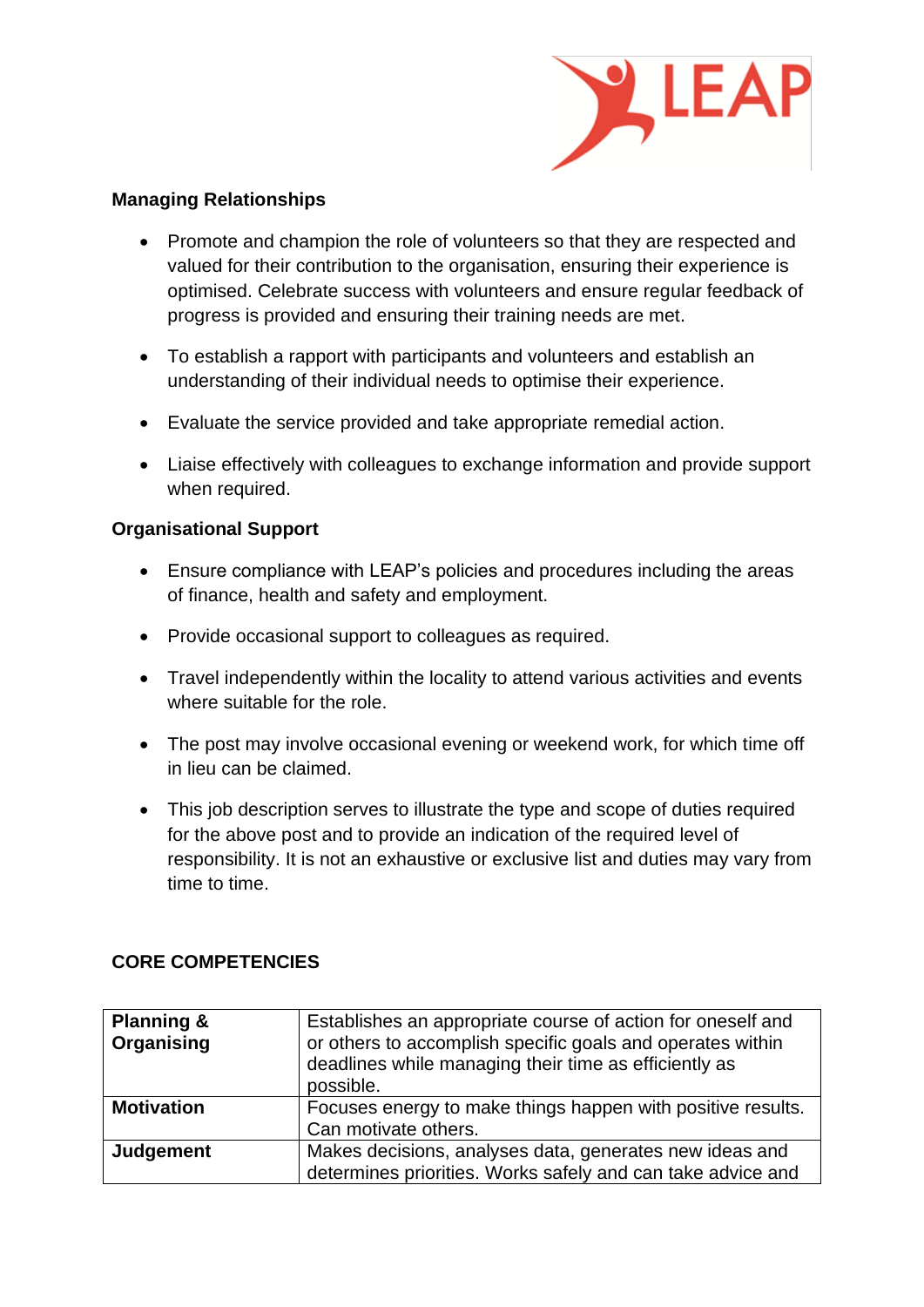

### **Managing Relationships**

- Promote and champion the role of volunteers so that they are respected and valued for their contribution to the organisation, ensuring their experience is optimised. Celebrate success with volunteers and ensure regular feedback of progress is provided and ensuring their training needs are met.
- To establish a rapport with participants and volunteers and establish an understanding of their individual needs to optimise their experience.
- Evaluate the service provided and take appropriate remedial action.
- Liaise effectively with colleagues to exchange information and provide support when required.

# **Organisational Support**

- Ensure compliance with LEAP's policies and procedures including the areas of finance, health and safety and employment.
- Provide occasional support to colleagues as required.
- Travel independently within the locality to attend various activities and events where suitable for the role.
- The post may involve occasional evening or weekend work, for which time off in lieu can be claimed.
- This job description serves to illustrate the type and scope of duties required for the above post and to provide an indication of the required level of responsibility. It is not an exhaustive or exclusive list and duties may vary from time to time.

# **CORE COMPETENCIES**

| <b>Planning &amp;</b><br>Organising | Establishes an appropriate course of action for oneself and<br>or others to accomplish specific goals and operates within<br>deadlines while managing their time as efficiently as<br>possible. |
|-------------------------------------|-------------------------------------------------------------------------------------------------------------------------------------------------------------------------------------------------|
| <b>Motivation</b>                   | Focuses energy to make things happen with positive results.<br>Can motivate others.                                                                                                             |
| Judgement                           | Makes decisions, analyses data, generates new ideas and<br>determines priorities. Works safely and can take advice and                                                                          |